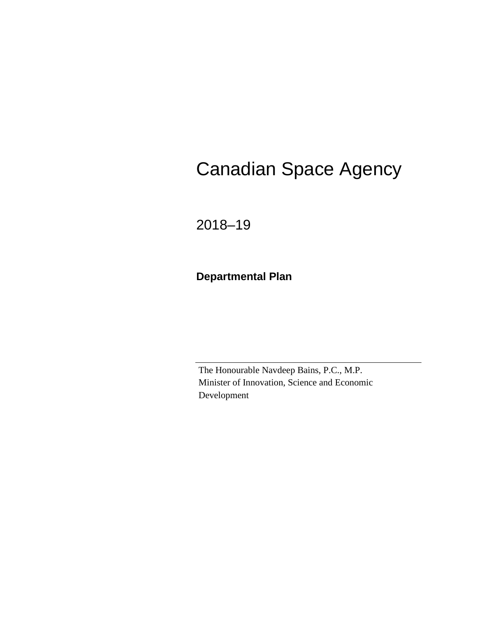# Canadian Space Agency

2018–19

**Departmental Plan**

The Honourable Navdeep Bains, P.C., M.P. Minister of Innovation, Science and Economic Development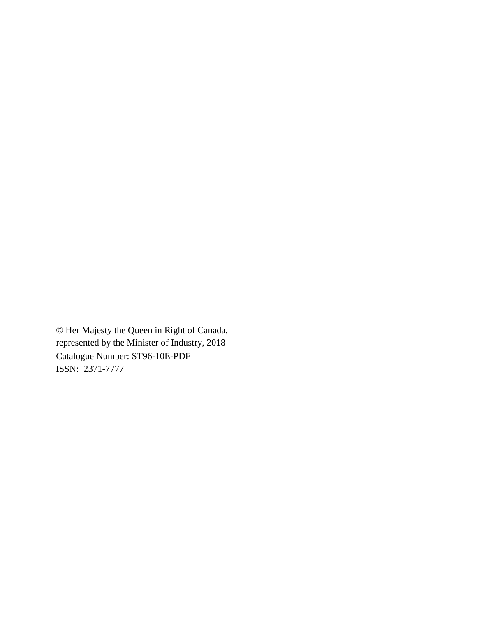© Her Majesty the Queen in Right of Canada, represented by the Minister of Industry, 2018 Catalogue Number: ST96-10E-PDF ISSN: 2371-7777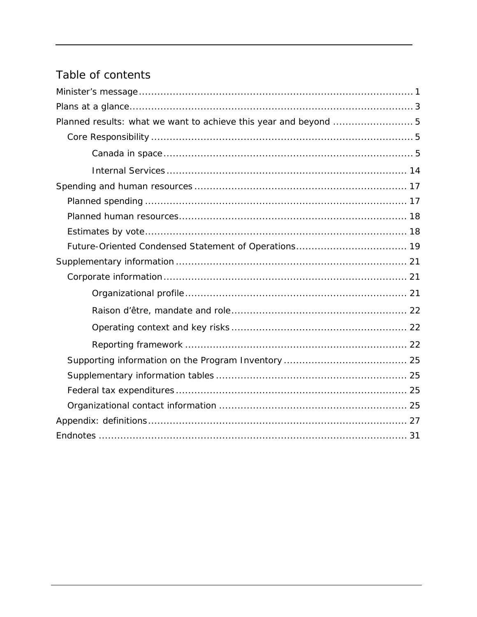## Table of contents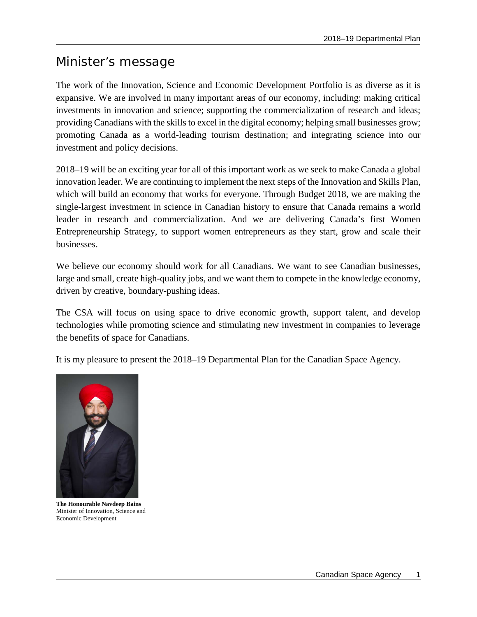## <span id="page-4-0"></span>Minister's message

The work of the Innovation, Science and Economic Development Portfolio is as diverse as it is expansive. We are involved in many important areas of our economy, including: making critical investments in innovation and science; supporting the commercialization of research and ideas; providing Canadians with the skills to excel in the digital economy; helping small businesses grow; promoting Canada as a world-leading tourism destination; and integrating science into our investment and policy decisions.

2018–19 will be an exciting year for all of this important work as we seek to make Canada a global innovation leader. We are continuing to implement the next steps of the Innovation and Skills Plan, which will build an economy that works for everyone. Through Budget 2018, we are making the single-largest investment in science in Canadian history to ensure that Canada remains a world leader in research and commercialization. And we are delivering Canada's first Women Entrepreneurship Strategy, to support women entrepreneurs as they start, grow and scale their businesses.

We believe our economy should work for all Canadians. We want to see Canadian businesses, large and small, create high-quality jobs, and we want them to compete in the knowledge economy, driven by creative, boundary-pushing ideas.

The CSA will focus on using space to drive economic growth, support talent, and develop technologies while promoting science and stimulating new investment in companies to leverage the benefits of space for Canadians.

It is my pleasure to present the 2018–19 Departmental Plan for the Canadian Space Agency.



**The Honourable Navdeep Bains** Minister of Innovation, Science and Economic Development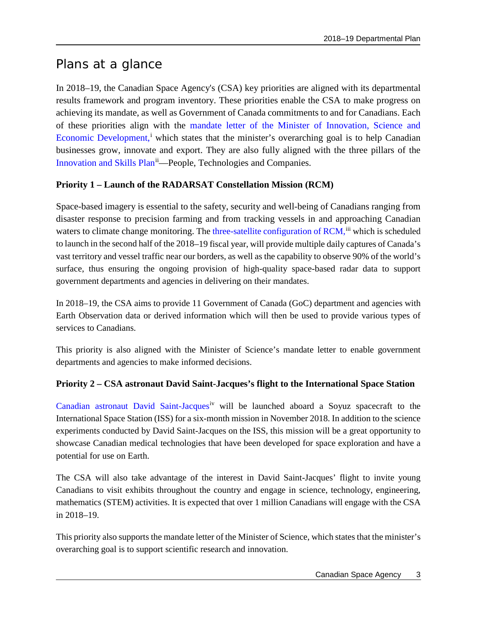## <span id="page-6-0"></span>Plans at a glance

In 2018–19, the Canadian Space Agency's (CSA) key priorities are aligned with its departmental results framework and program inventory. These priorities enable the CSA to make progress on achieving its mandate, as well as Government of Canada commitments to and for Canadians. Each of these priorities align with the [mandate letter of the Minister of Innovation, Science and](https://pm.gc.ca/eng/minister-innovation-science-and-economic-development-mandate-letter)  [Economic Development,](https://pm.gc.ca/eng/minister-innovation-science-and-economic-development-mandate-letter)<sup>[i](#page-34-1)</sup> which states that the minister's overarching goal is to help Canadian businesses grow, innovate and export. They are also fully aligned with the three pillars of the [Innovation and Skills Plan](http://www.ic.gc.ca/eic/site/062.nsf/eng/home)<sup>[ii](#page-34-2)</sup>—People, Technologies and Companies.

### <span id="page-6-1"></span>**Priority 1 – Launch of the RADARSAT Constellation Mission (RCM)**

Space-based imagery is essential to the safety, security and well-being of Canadians ranging from disaster response to precision farming and from tracking vessels in and approaching Canadian waters to climate change monitoring. The [three-satellite configuration of RCM,](http://www.asc-csa.gc.ca/eng/satellites/radarsat/default.asp) ii which is scheduled to launch in the second half of the 2018–19 fiscal year, will provide multiple daily captures of Canada's vast territory and vessel traffic near our borders, as well as the capability to observe 90% of the world's surface, thus ensuring the ongoing provision of high-quality space-based radar data to support government departments and agencies in delivering on their mandates.

In 2018–19, the CSA aims to provide 11 Government of Canada (GoC) department and agencies with Earth Observation data or derived information which will then be used to provide various types of services to Canadians.

This priority is also aligned with the Minister of Science's mandate letter to enable government departments and agencies to make informed decisions.

### **Priority 2 – CSA astronaut David Saint-Jacques's flight to the International Space Station**

[Canadian astronaut David Saint-Jacques](http://www.asc-csa.gc.ca/eng/missions/expedition58-59/default.asp)<sup>[iv](#page-34-4)</sup> will be launched aboard a Soyuz spacecraft to the International Space Station (ISS) for a six-month mission in November 2018. In addition to the science experiments conducted by David Saint-Jacques on the ISS, this mission will be a great opportunity to showcase Canadian medical technologies that have been developed for space exploration and have a potential for use on Earth.

The CSA will also take advantage of the interest in David Saint-Jacques' flight to invite young Canadians to visit exhibits throughout the country and engage in science, technology, engineering, mathematics (STEM) activities. It is expected that over 1 million Canadians will engage with the CSA in 2018–19.

This priority also supports the mandate letter of the Minister of Science, which states that the minister's overarching goal is to support scientific research and innovation.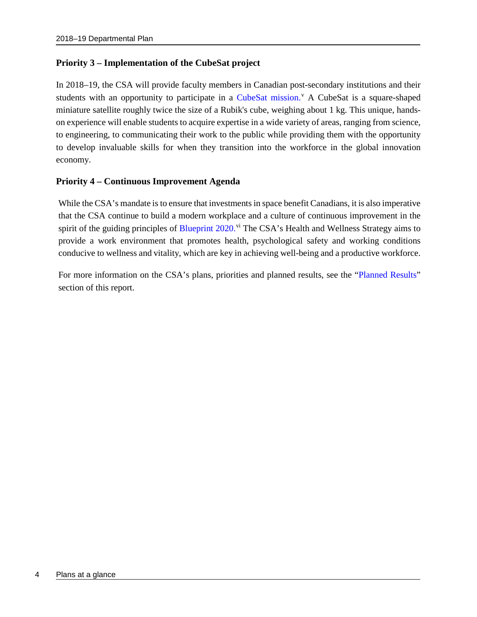### **Priority 3 – Implementation of the CubeSat project**

In 2018–19, the CSA will provide faculty members in Canadian post-secondary institutions and their students with an opportunity to participate in a [CubeSat mission.](http://www.asc-csa.gc.ca/eng/sciences/canadian-cubesat-project.asp)<sup>[v](#page-34-5)</sup> A CubeSat is a square-shaped miniature satellite roughly twice the size of a Rubik's cube, weighing about 1 kg. This unique, handson experience will enable students to acquire expertise in a wide variety of areas, ranging from science, to engineering, to communicating their work to the public while providing them with the opportunity to develop invaluable skills for when they transition into the workforce in the global innovation economy.

### **Priority 4 – Continuous Improvement Agenda**

While the CSA's mandate is to ensure that investments in space benefit Canadians, it is also imperative that the CSA continue to build a modern workplace and a culture of continuous improvement in the spirit of the guiding principles of [Blueprint 2020.](https://www.canada.ca/en/privy-council/topics/blueprint-2020-public-service-renewal.html)<sup>[vi](#page-34-6)</sup> The CSA's Health and Wellness Strategy aims to provide a work environment that promotes health, psychological safety and working conditions conducive to wellness and vitality, which are key in achieving well-being and a productive workforce.

For more information on the CSA's plans, priorities and planned results, see the ["Planned Results"](#page-8-0) section of this report.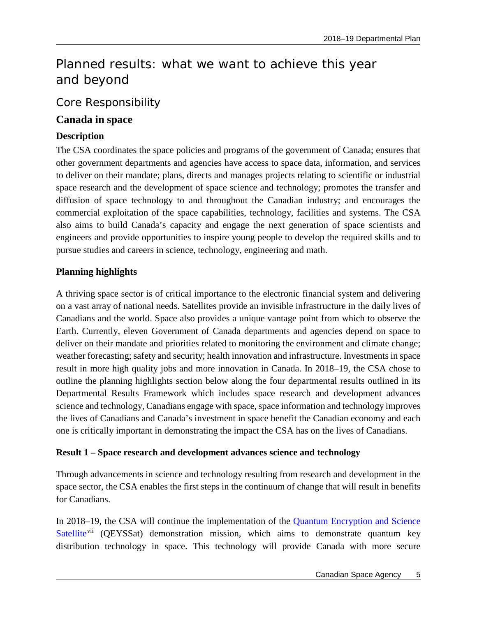## <span id="page-8-0"></span>Planned results: what we want to achieve this year and beyond

### <span id="page-8-1"></span>Core Responsibility

### <span id="page-8-2"></span>**Canada in space**

### **Description**

The CSA coordinates the space policies and programs of the government of Canada; ensures that other government departments and agencies have access to space data, information, and services to deliver on their mandate; plans, directs and manages projects relating to scientific or industrial space research and the development of space science and technology; promotes the transfer and diffusion of space technology to and throughout the Canadian industry; and encourages the commercial exploitation of the space capabilities, technology, facilities and systems. The CSA also aims to build Canada's capacity and engage the next generation of space scientists and engineers and provide opportunities to inspire young people to develop the required skills and to pursue studies and careers in science, technology, engineering and math.

### **Planning highlights**

A thriving space sector is of critical importance to the electronic financial system and delivering on a vast array of national needs. Satellites provide an invisible infrastructure in the daily lives of Canadians and the world. Space also provides a unique vantage point from which to observe the Earth. Currently, eleven Government of Canada departments and agencies depend on space to deliver on their mandate and priorities related to monitoring the environment and climate change; weather forecasting; safety and security; health innovation and infrastructure. Investments in space result in more high quality jobs and more innovation in Canada. In 2018–19, the CSA chose to outline the planning highlights section below along the four departmental results outlined in its Departmental Results Framework which includes space research and development advances science and technology, Canadians engage with space, space information and technology improves the lives of Canadians and Canada's investment in space benefit the Canadian economy and each one is critically important in demonstrating the impact the CSA has on the lives of Canadians.

### **Result 1 – Space research and development advances science and technology**

Through advancements in science and technology resulting from research and development in the space sector, the CSA enables the first steps in the continuum of change that will result in benefits for Canadians.

In 2018–19, the CSA will continue the implementation of the [Quantum Encryption and Science](http://www.asc-csa.gc.ca/eng/sciences/qeyssat.asp)  [Satellite](http://www.asc-csa.gc.ca/eng/sciences/qeyssat.asp)<sup>[vii](#page-34-7)</sup> (QEYSSat) demonstration mission, which aims to demonstrate quantum key distribution technology in space. This technology will provide Canada with more secure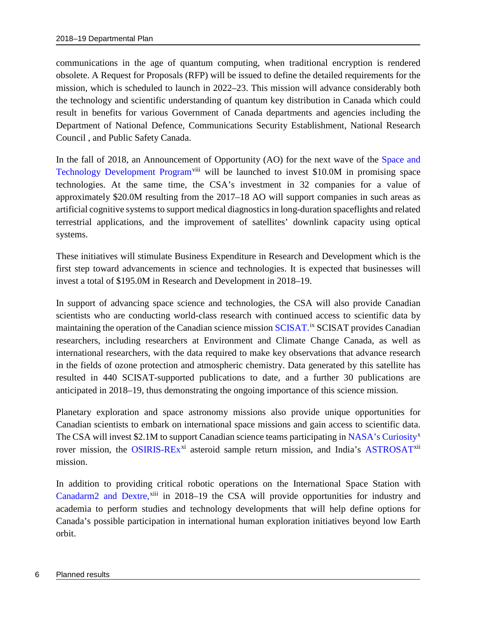communications in the age of quantum computing, when traditional encryption is rendered obsolete. A Request for Proposals (RFP) will be issued to define the detailed requirements for the mission, which is scheduled to launch in 2022–23. This mission will advance considerably both the technology and scientific understanding of quantum key distribution in Canada which could result in benefits for various Government of Canada departments and agencies including the Department of National Defence, Communications Security Establishment, National Research Council , and Public Safety Canada.

In the fall of 2018, an Announcement of Opportunity (AO) for the next wave of the Space and [Technology Development Program](http://www.asc-csa.gc.ca/eng/programs/stdp/Default.asp)<sup>[viii](#page-34-8)</sup> will be launched to invest \$10.0M in promising space technologies. At the same time, the CSA's investment in 32 companies for a value of approximately \$20.0M resulting from the 2017–18 AO will support companies in such areas as artificial cognitive systems to support medical diagnostics in long-duration spaceflights and related terrestrial applications, and the improvement of satellites' downlink capacity using optical systems.

These initiatives will stimulate Business Expenditure in Research and Development which is the first step toward advancements in science and technologies. It is expected that businesses will invest a total of \$195.0M in Research and Development in 2018–19.

In support of advancing space science and technologies, the CSA will also provide Canadian scientists who are conducting world-class research with continued access to scientific data by maintaining the operation of the Canadian science mission [SCISAT.](http://www.asc-csa.gc.ca/eng/satellites/scisat/default.asp)<sup>[ix](#page-34-9)</sup> SCISAT provides Canadian researchers, including researchers at Environment and Climate Change Canada, as well as international researchers, with the data required to make key observations that advance research in the fields of ozone protection and atmospheric chemistry. Data generated by this satellite has resulted in 440 SCISAT-supported publications to date, and a further 30 publications are anticipated in 2018–19, thus demonstrating the ongoing importance of this science mission.

Planetary exploration and space astronomy missions also provide unique opportunities for Canadian scientists to embark on international space missions and gain access to scientific data. The CSA will invest \$2.1M to support Canadian science teams participating in [NASA's Curiosity](http://www.asc-csa.gc.ca/eng/astronomy/mars/curiosity.asp)<sup>[x](#page-34-10)</sup> rover mission, the [OSIRIS-REx](http://www.asc-csa.gc.ca/eng/satellites/osiris-rex/default.asp)<sup>[xi](#page-34-11)</sup> asteroid sample return mission, and India's [ASTROSAT](http://www.asc-csa.gc.ca/eng/sciences/astrosat.asp)<sup>[xii](#page-34-12)</sup> mission.

In addition to providing critical robotic operations on the International Space Station with [Canadarm2 and Dextre,](http://www.asc-csa.gc.ca/eng/iss/mobile-base/overview.asp)<sup>[xiii](#page-34-13)</sup> in 2018–19 the CSA will provide opportunities for industry and academia to perform studies and technology developments that will help define options for Canada's possible participation in international human exploration initiatives beyond low Earth orbit.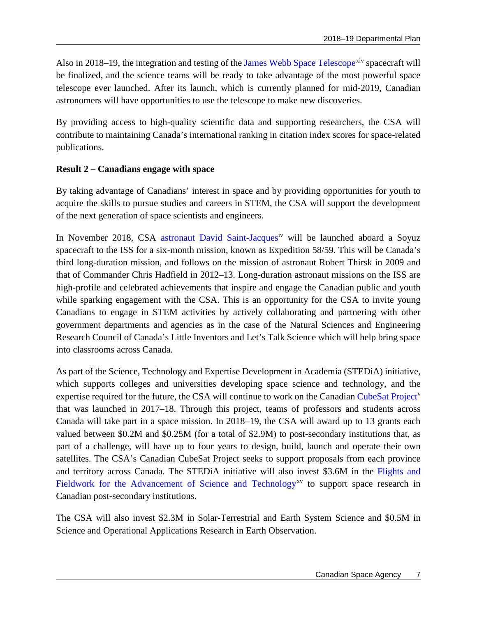Also in 2018–19, the integration and testing of the [James Webb Space Telescope](http://www.asc-csa.gc.ca/eng/satellites/jwst/default.asp)<sup>[xiv](#page-34-14)</sup> spacecraft will be finalized, and the science teams will be ready to take advantage of the most powerful space telescope ever launched. After its launch, which is currently planned for mid-2019, Canadian astronomers will have opportunities to use the telescope to make new discoveries.

By providing access to high-quality scientific data and supporting researchers, the CSA will contribute to maintaining Canada's international ranking in citation index scores for space-related publications.

#### **Result 2 – Canadians engage with space**

By taking advantage of Canadians' interest in space and by providing opportunities for youth to acquire the skills to pursue studies and careers in STEM, the CSA will support the development of the next generation of space scientists and engineers.

In November 2018, CSA [astronaut David Saint-Jacques](http://www.asc-csa.gc.ca/eng/missions/expedition58-59/default.asp)<sup>[iv](http://www.asc-csa.gc.ca/eng/missions/expedition58-59/default.asp)</sup> will be launched aboard a Soyuz spacecraft to the ISS for a six-month mission, known as Expedition 58/59. This will be Canada's third long-duration mission, and follows on the mission of astronaut Robert Thirsk in 2009 and that of Commander Chris Hadfield in 2012–13. Long-duration astronaut missions on the ISS are high-profile and celebrated achievements that inspire and engage the Canadian public and youth while sparking engagement with the CSA. This is an opportunity for the CSA to invite young Canadians to engage in STEM activities by actively collaborating and partnering with other government departments and agencies as in the case of the Natural Sciences and Engineering Research Council of Canada's Little Inventors and Let's Talk Science which will help bring space into classrooms across Canada.

As part of the Science, Technology and Expertise Development in Academia (STEDiA) initiative, which supports colleges and universities developing space science and technology, and the expertise required for the future, the CSA will continue to work on the Canadian [CubeSat Project](http://www.asc-csa.gc.ca/eng/sciences/canadian-cubesat-project.asp)<sup>[v](http://www.asc-csa.gc.ca/eng/sciences/canadian-cubesat-project.asp)</sup> that was launched in 2017–18. Through this project, teams of professors and students across Canada will take part in a space mission. In 2018–19, the CSA will award up to 13 grants each valued between \$0.2M and \$0.25M (for a total of \$2.9M) to post-secondary institutions that, as part of a challenge, will have up to four years to design, build, launch and operate their own satellites. The CSA's Canadian CubeSat Project seeks to support proposals from each province and territory across Canada. The STEDiA initiative will also invest \$3.6M in the [Flights and](http://www.asc-csa.gc.ca/eng/ao/2017-fast.asp)  Fieldwork for the [Advancement of Science and Technology](http://www.asc-csa.gc.ca/eng/ao/2017-fast.asp)<sup>[xv](#page-34-15)</sup> to support space research in Canadian post-secondary institutions.

The CSA will also invest \$2.3M in Solar-Terrestrial and Earth System Science and \$0.5M in Science and Operational Applications Research in Earth Observation.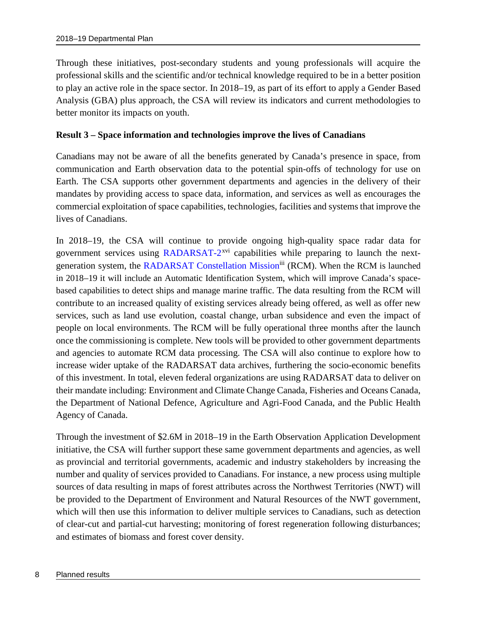Through these initiatives, post-secondary students and young professionals will acquire the professional skills and the scientific and/or technical knowledge required to be in a better position to play an active role in the space sector. In 2018–19, as part of its effort to apply a Gender Based Analysis (GBA) plus approach, the CSA will review its indicators and current methodologies to better monitor its impacts on youth.

#### **Result 3 – Space information and technologies improve the lives of Canadians**

Canadians may not be aware of all the benefits generated by Canada's presence in space, from communication and Earth observation data to the potential spin-offs of technology for use on Earth. The CSA supports other government departments and agencies in the delivery of their mandates by providing access to space data, information, and services as well as encourages the commercial exploitation of space capabilities, technologies, facilities and systems that improve the lives of Canadians.

In 2018–19, the CSA will continue to provide ongoing high-quality space radar data for government services using  $\text{RADARSAT-2}^{xvi}$  $\text{RADARSAT-2}^{xvi}$  $\text{RADARSAT-2}^{xvi}$  $\text{RADARSAT-2}^{xvi}$  $\text{RADARSAT-2}^{xvi}$  capabilities while preparing to launch the nextgeneration system, the RADARSAT Constellation Mission<sup>iii</sup> (RCM). When the RCM is launched in 2018–19 it will include an Automatic Identification System, which will improve Canada's spacebased capabilities to detect ships and manage marine traffic. The data resulting from the RCM will contribute to an increased quality of existing services already being offered, as well as offer new services, such as land use evolution, coastal change, urban subsidence and even the impact of people on local environments. The RCM will be fully operational three months after the launch once the commissioning is complete. New tools will be provided to other government departments and agencies to automate RCM data processing. The CSA will also continue to explore how to increase wider uptake of the RADARSAT data archives, furthering the socio-economic benefits of this investment. In total, eleven federal organizations are using RADARSAT data to deliver on their mandate including: Environment and Climate Change Canada, Fisheries and Oceans Canada, the Department of National Defence, Agriculture and Agri-Food Canada, and the Public Health Agency of Canada.

Through the investment of \$2.6M in 2018–19 in the Earth Observation Application Development initiative, the CSA will further support these same government departments and agencies, as well as provincial and territorial governments, academic and industry stakeholders by increasing the number and quality of services provided to Canadians. For instance, a new process using multiple sources of data resulting in maps of forest attributes across the Northwest Territories (NWT) will be provided to the Department of Environment and Natural Resources of the NWT government, which will then use this information to deliver multiple services to Canadians, such as detection of clear-cut and partial-cut harvesting; monitoring of forest regeneration following disturbances; and estimates of biomass and forest cover density.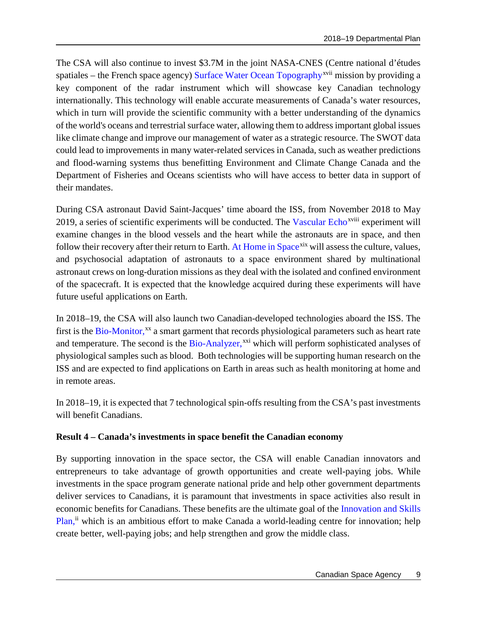The CSA will also continue to invest \$3.7M in the joint NASA-CNES (Centre national d'études spatiales – the French space agency) [Surface Water Ocean Topography](http://www.asc-csa.gc.ca/eng/satellites/swot.asp)<sup>[xvii](#page-34-17)</sup> mission by providing a key component of the radar instrument which will showcase key Canadian technology internationally. This technology will enable accurate measurements of Canada's water resources, which in turn will provide the scientific community with a better understanding of the dynamics of the world's oceans and terrestrial surface water, allowing them to address important global issues like climate change and improve our management of water as a strategic resource. The SWOT data could lead to improvements in many water-related services in Canada, such as weather predictions and flood-warning systems thus benefitting Environment and Climate Change Canada and the Department of Fisheries and Oceans scientists who will have access to better data in support of their mandates.

During CSA astronaut David Saint-Jacques' time aboard the ISS, from November 2018 to May 2019, a series of scientific experiments will be conducted. The [Vascular Echo](http://www.asc-csa.gc.ca/eng/sciences/vascular.asp)<sup>xv[i](#page-34-18)ii</sup> experiment will examine changes in the blood vessels and the heart while the astronauts are in space, and then follow their recovery after their return to Earth. [At Home in Space](http://www.asc-csa.gc.ca/eng/sciences/at-home-in-space.asp)<sup>[xix](#page-34-19)</sup> will assess the culture, values, and psychosocial adaptation of astronauts to a space environment shared by multinational astronaut crews on long-duration missions as they deal with the isolated and confined environment of the spacecraft. It is expected that the knowledge acquired during these experiments will have future useful applications on Earth.

In 2018–19, the CSA will also launch two Canadian-developed technologies aboard the ISS. The first is the [Bio-Monitor,](http://www.asc-csa.gc.ca/eng/sciences/bio-monitor.asp)<sup>[xx](#page-34-20)</sup> a smart garment that records physiological parameters such as heart rate and temperature. The second is the [Bio-Analyzer,](http://www.asc-csa.gc.ca/eng/iss/bio-analyzer.asp)<sup>[xxi](#page-34-21)</sup> which will perform sophisticated analyses of physiological samples such as blood. Both technologies will be supporting human research on the ISS and are expected to find applications on Earth in areas such as health monitoring at home and in remote areas.

In 2018–19, it is expected that 7 technological spin-offs resulting from the CSA's past investments will benefit Canadians.

### **Result 4 – Canada's investments in space benefit the Canadian economy**

By supporting innovation in the space sector, the CSA will enable Canadian innovators and entrepreneurs to take advantage of growth opportunities and create well-paying jobs. While investments in the space program generate national pride and help other government departments deliver services to Canadians, it is paramount that investments in space activities also result in economic benefits for Canadians. These benefits are the ultimate goal of the [Innovation and Skills](http://www.ic.gc.ca/eic/site/062.nsf/eng/home)  [Plan,](http://www.ic.gc.ca/eic/site/062.nsf/eng/home)<sup>[ii](#page-6-1)</sup> which is an ambitious effort to make Canada a world-leading centre for innovation; help create better, well-paying jobs; and help strengthen and grow the middle class.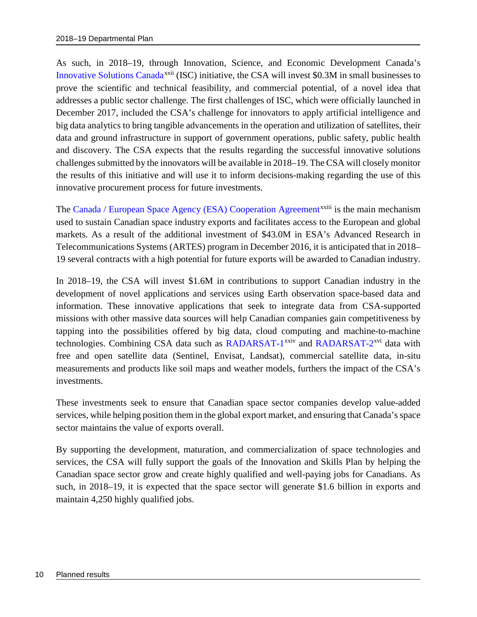As such, in 2018–19, through Innovation, Science, and Economic Development Canada's [Innovative Solutions Canada](http://www.ic.gc.ca/eic/site/101.nsf/eng/home)<sup>[xxii](#page-34-22)</sup> (ISC) initiative, the CSA will invest \$0.3M in small businesses to prove the scientific and technical feasibility, and commercial potential, of a novel idea that addresses a public sector challenge. The first challenges of ISC, which were officially launched in December 2017, included the CSA's challenge for innovators to apply artificial intelligence and big data analytics to bring tangible advancements in the operation and utilization of satellites, their data and ground infrastructure in support of government operations, public safety, public health and discovery. The CSA expects that the results regarding the successful innovative solutions challenges submitted by the innovators will be available in 2018–19. The CSA will closely monitor the results of this initiative and will use it to inform decisions-making regarding the use of this innovative procurement process for future investments.

The [Canada / European Space Agency \(ESA\) Cooperation Agreement](http://www.asc-csa.gc.ca/eng/programs/esa/default.asp)<sup>xx[i](#page-34-23)ii</sup> is the main mechanism used to sustain Canadian space industry exports and facilitates access to the European and global markets. As a result of the additional investment of \$43.0M in ESA's Advanced Research in Telecommunications Systems (ARTES) program in December 2016, it is anticipated that in 2018– 19 several contracts with a high potential for future exports will be awarded to Canadian industry.

In 2018–19, the CSA will invest \$1.6M in contributions to support Canadian industry in the development of novel applications and services using Earth observation space-based data and information. These innovative applications that seek to integrate data from CSA-supported missions with other massive data sources will help Canadian companies gain competitiveness by tapping into the possibilities offered by big data, cloud computing and machine-to-machine technologies. Combining CSA data such as [RADARSAT-1](http://www.asc-csa.gc.ca/eng/satellites/radarsat1/Default.asp)<sup>[xxiv](#page-34-24)</sup> and RADARSAT-2<sup>xvi</sup> data with free and open satellite data (Sentinel, Envisat, Landsat), commercial satellite data, in-situ measurements and products like soil maps and weather models, furthers the impact of the CSA's investments.

These investments seek to ensure that Canadian space sector companies develop value-added services, while helping position them in the global export market, and ensuring that Canada's space sector maintains the value of exports overall.

By supporting the development, maturation, and commercialization of space technologies and services, the CSA will fully support the goals of the Innovation and Skills Plan by helping the Canadian space sector grow and create highly qualified and well-paying jobs for Canadians. As such, in 2018–19, it is expected that the space sector will generate \$1.6 billion in exports and maintain 4,250 highly qualified jobs.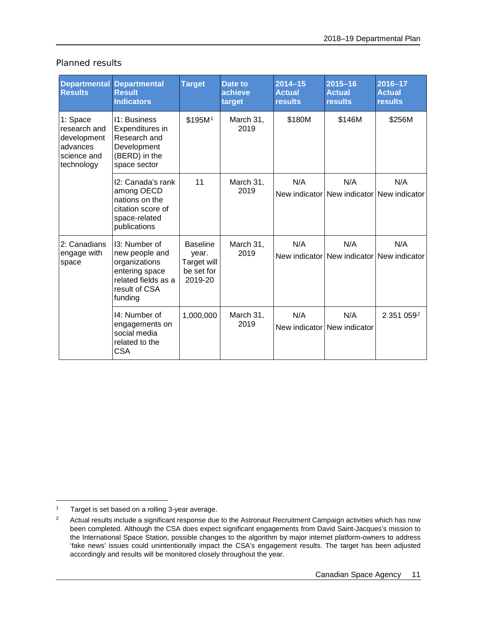| <b>Planned results</b> |  |
|------------------------|--|
|                        |  |

| <b>Results</b>                                                                   | <b>Departmental Departmental</b><br><b>Result</b><br><b>Indicators</b>                                                | <b>Target</b>                                                    | Date to<br>achieve<br>target | $2014 - 15$<br><b>Actual</b><br><b>results</b> | $2015 - 16$<br><b>Actual</b><br><b>results</b>   | $2016 - 17$<br><b>Actual</b><br><b>results</b> |
|----------------------------------------------------------------------------------|-----------------------------------------------------------------------------------------------------------------------|------------------------------------------------------------------|------------------------------|------------------------------------------------|--------------------------------------------------|------------------------------------------------|
| 1: Space<br>research and<br>development<br>advances<br>science and<br>technology | 11: Business<br>Expenditures in<br>Research and<br>Development<br>(BERD) in the<br>space sector                       | \$195M <sup>1</sup>                                              | March 31,<br>2019            | \$180M                                         | \$146M                                           | \$256M                                         |
|                                                                                  | 12: Canada's rank<br>among OECD<br>nations on the<br>citation score of<br>space-related<br>publications               | 11                                                               | March 31,<br>2019            | N/A                                            | N/A<br>New indicator New indicator New indicator | N/A                                            |
| 2: Canadians<br>engage with<br>space                                             | 13: Number of<br>new people and<br>organizations<br>entering space<br>related fields as a<br>result of CSA<br>funding | <b>Baseline</b><br>year.<br>Target will<br>be set for<br>2019-20 | March 31,<br>2019            | N/A                                            | N/A<br>New indicator New indicator New indicator | N/A                                            |
|                                                                                  | 14: Number of<br>engagements on<br>social media<br>related to the<br><b>CSA</b>                                       | 1,000,000                                                        | March 31,<br>2019            | N/A                                            | N/A<br>New indicator New indicator               | 2 351 0592                                     |

<span id="page-14-0"></span> $\overline{a}$ <sup>1</sup> Target is set based on a rolling 3-year average.

<span id="page-14-1"></span><sup>&</sup>lt;sup>2</sup> Actual results include a significant response due to the Astronaut Recruitment Campaign activities which has now been completed. Although the CSA does expect significant engagements from David Saint-Jacques's mission to the International Space Station, possible changes to the algorithm by major internet platform-owners to address 'fake news' issues could unintentionally impact the CSA's engagement results. The target has been adjusted accordingly and results will be monitored closely throughout the year.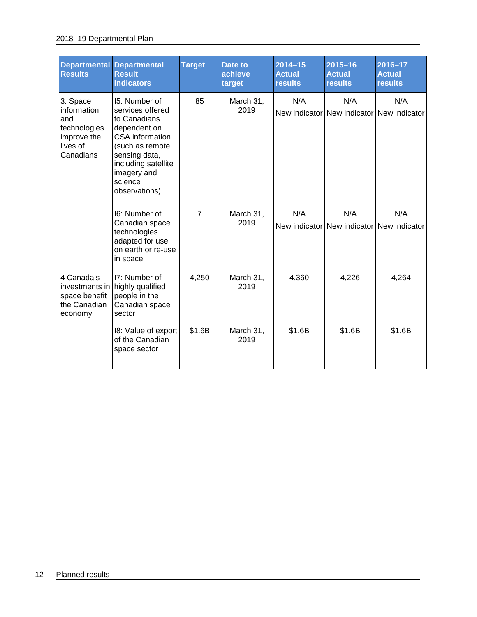#### 2018–19 Departmental Plan

| <b>Departmental</b><br><b>Results</b>                                                  | <b>Departmental</b><br><b>Result</b><br><b>Indicators</b>                                                                                                                                         | <b>Target</b>  | Date to<br>achieve<br>target | $2014 - 15$<br><b>Actual</b><br><b>results</b> | $2015 - 16$<br><b>Actual</b><br><b>results</b>   | 2016-17<br><b>Actual</b><br><b>results</b> |
|----------------------------------------------------------------------------------------|---------------------------------------------------------------------------------------------------------------------------------------------------------------------------------------------------|----------------|------------------------------|------------------------------------------------|--------------------------------------------------|--------------------------------------------|
| 3: Space<br>information<br>and<br>technologies<br>improve the<br>lives of<br>Canadians | 15: Number of<br>services offered<br>to Canadians<br>dependent on<br><b>CSA</b> information<br>(such as remote<br>sensing data,<br>including satellite<br>imagery and<br>science<br>observations) | 85             | March 31,<br>2019            | N/A                                            | N/A<br>New indicator New indicator New indicator | N/A                                        |
|                                                                                        | 16: Number of<br>Canadian space<br>technologies<br>adapted for use<br>on earth or re-use<br>in space                                                                                              | $\overline{7}$ | March 31,<br>2019            | N/A                                            | N/A<br>New indicator New indicator New indicator | N/A                                        |
| 4 Canada's<br>investments in<br>space benefit<br>the Canadian<br>economy               | I7: Number of<br>highly qualified<br>people in the<br>Canadian space<br>sector                                                                                                                    | 4,250          | March 31,<br>2019            | 4,360                                          | 4,226                                            | 4,264                                      |
|                                                                                        | 18: Value of export<br>of the Canadian<br>space sector                                                                                                                                            | \$1.6B         | March 31,<br>2019            | \$1.6B                                         | \$1.6B                                           | \$1.6B                                     |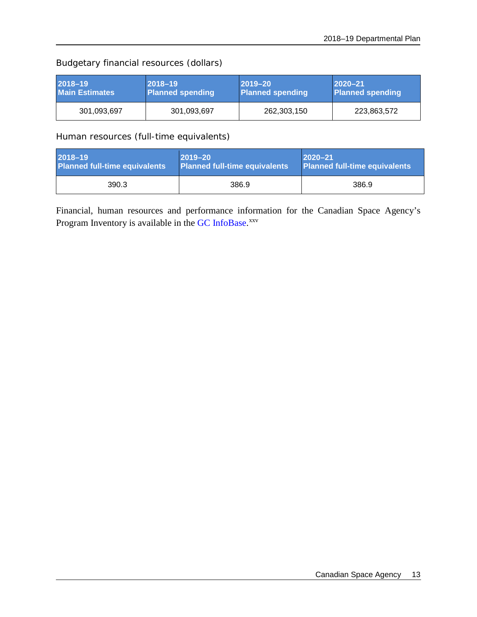### Budgetary financial resources (dollars)

| 2018-19               | $ 2018 - 19 $           | $2019 - 20$             | $ 2020 - 21 $           |
|-----------------------|-------------------------|-------------------------|-------------------------|
| <b>Main Estimates</b> | <b>Planned spending</b> | <b>Planned spending</b> | <b>Planned spending</b> |
| 301,093,697           | 301,093,697             | 262,303,150             | 223,863,572             |

Human resources (full-time equivalents)

| 2018-19<br><b>Planned full-time equivalents</b> | $2019 - 20$<br>$12020 - 21$<br>Planned full-time equivalents<br>Planned full-time equivalents |       |
|-------------------------------------------------|-----------------------------------------------------------------------------------------------|-------|
| 390.3                                           | 386.9                                                                                         | 386.9 |

Financial, human resources and performance information for the Canadian Space Agency's Program Inventory is available in the GC [InfoBase.](https://www.tbs-sct.gc.ca/ems-sgd/edb-bdd/index-eng.html)<sup>[xxv](#page-34-25)</sup>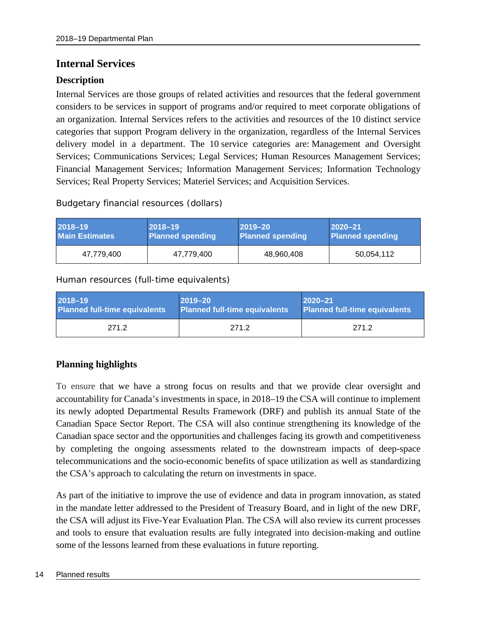### <span id="page-17-0"></span>**Internal Services**

### **Description**

Internal Services are those groups of related activities and resources that the federal government considers to be services in support of programs and/or required to meet corporate obligations of an organization. Internal Services refers to the activities and resources of the 10 distinct service categories that support Program delivery in the organization, regardless of the Internal Services delivery model in a department. The 10 service categories are: Management and Oversight Services; Communications Services; Legal Services; Human Resources Management Services; Financial Management Services; Information Management Services; Information Technology Services; Real Property Services; Materiel Services; and Acquisition Services.

Budgetary financial resources (dollars)

| 2018-19               | $ 2018 - 19 $           | $ 2019 - 20 $    | $ 2020 - 21$            |
|-----------------------|-------------------------|------------------|-------------------------|
| <b>Main Estimates</b> | <b>Planned spending</b> | Planned spending | <b>Planned spending</b> |
| 47,779,400            | 47,779,400              | 48,960,408       | 50,054,112              |

Human resources (full-time equivalents)

| 2018-19                              | $2019 - 20$                          | $ 2020 - 21$                         |
|--------------------------------------|--------------------------------------|--------------------------------------|
| <b>Planned full-time equivalents</b> | <b>Planned full-time equivalents</b> | <b>Planned full-time equivalents</b> |
| 271.2                                | 271.2                                | 271.2                                |

### **Planning highlights**

To ensure that we have a strong focus on results and that we provide clear oversight and accountability for Canada's investments in space, in 2018–19 the CSA will continue to implement its newly adopted Departmental Results Framework (DRF) and publish its annual State of the Canadian Space Sector Report. The CSA will also continue strengthening its knowledge of the Canadian space sector and the opportunities and challenges facing its growth and competitiveness by completing the ongoing assessments related to the downstream impacts of deep-space telecommunications and the socio-economic benefits of space utilization as well as standardizing the CSA's approach to calculating the return on investments in space.

As part of the initiative to improve the use of evidence and data in program innovation, as stated in the mandate letter addressed to the President of Treasury Board, and in light of the new DRF, the CSA will adjust its Five-Year Evaluation Plan. The CSA will also review its current processes and tools to ensure that evaluation results are fully integrated into decision-making and outline some of the lessons learned from these evaluations in future reporting.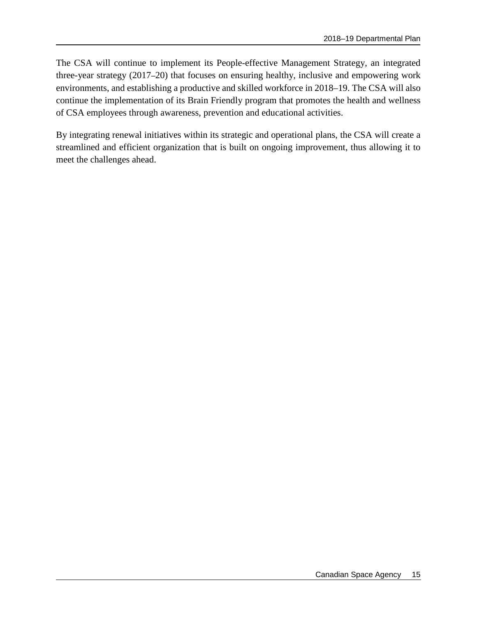The CSA will continue to implement its People-effective Management Strategy, an integrated three-year strategy (2017–20) that focuses on ensuring healthy, inclusive and empowering work environments, and establishing a productive and skilled workforce in 2018–19. The CSA will also continue the implementation of its Brain Friendly program that promotes the health and wellness of CSA employees through awareness, prevention and educational activities.

By integrating renewal initiatives within its strategic and operational plans, the CSA will create a streamlined and efficient organization that is built on ongoing improvement, thus allowing it to meet the challenges ahead.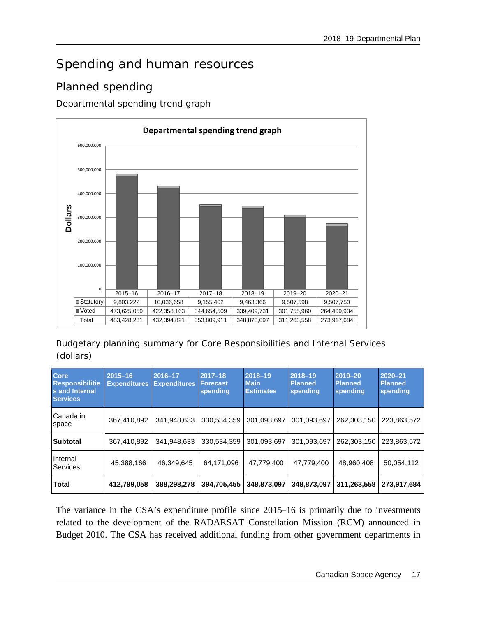## <span id="page-20-0"></span>Spending and human resources

## <span id="page-20-1"></span>Planned spending

Departmental spending trend graph



Budgetary planning summary for Core Responsibilities and Internal Services (dollars)

| <b>Core</b><br><b>Responsibilitie</b><br>s and Internal<br><b>Services</b> | $2015 - 16$<br><b>Expenditures</b> | 2016-17<br><b>Expenditures</b> | $2017 - 18$<br><b>Forecast</b><br>spending | $2018 - 19$<br><b>Main</b><br><b>Estimates</b> | 2018-19<br><b>Planned</b><br>spending | 2019-20<br><b>Planned</b><br>spending | 2020-21<br><b>Planned</b><br>spending |
|----------------------------------------------------------------------------|------------------------------------|--------------------------------|--------------------------------------------|------------------------------------------------|---------------------------------------|---------------------------------------|---------------------------------------|
| Canada in<br>space                                                         | 367,410,892                        | 341,948,633                    | 330,534,359                                | 301,093,697                                    | 301,093,697                           | 262,303,150                           | 223,863,572                           |
| <b>Subtotal</b>                                                            | 367,410,892                        | 341,948,633                    | 330,534,359                                | 301,093,697                                    | 301,093,697                           | 262,303,150                           | 223,863,572                           |
| Internal<br>Services                                                       | 45,388,166                         | 46,349,645                     | 64,171,096                                 | 47,779,400                                     | 47,779,400                            | 48,960,408                            | 50,054,112                            |
| <b>Total</b>                                                               | 412,799,058                        | 388,298,278                    | 394,705,455                                | 348,873,097                                    | 348,873,097                           | 311,263,558                           | 273,917,684                           |

The variance in the CSA's expenditure profile since 2015–16 is primarily due to investments related to the development of the RADARSAT Constellation Mission (RCM) announced in Budget 2010. The CSA has received additional funding from other government departments in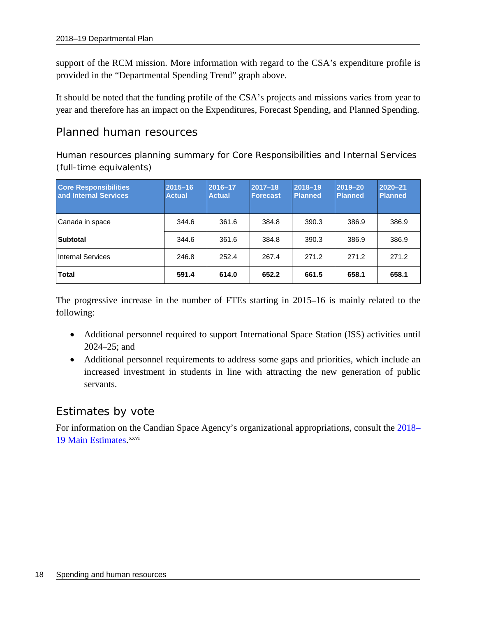support of the RCM mission. More information with regard to the CSA's expenditure profile is provided in the "Departmental Spending Trend" graph above.

It should be noted that the funding profile of the CSA's projects and missions varies from year to year and therefore has an impact on the Expenditures, Forecast Spending, and Planned Spending.

### <span id="page-21-0"></span>Planned human resources

Human resources planning summary for Core Responsibilities and Internal Services (full-time equivalents)

| <b>Core Responsibilities</b><br>and Internal Services | $2015 - 16$<br><b>Actual</b> | 2016-17<br><b>Actual</b> | $2017 - 18$<br><b>Forecast</b> | $2018 - 19$<br><b>Planned</b> | 2019-20<br>Planned | $2020 - 21$<br><b>Planned</b> |
|-------------------------------------------------------|------------------------------|--------------------------|--------------------------------|-------------------------------|--------------------|-------------------------------|
| Canada in space                                       | 344.6                        | 361.6                    | 384.8                          | 390.3                         | 386.9              | 386.9                         |
| <b>Subtotal</b>                                       | 344.6                        | 361.6                    | 384.8                          | 390.3                         | 386.9              | 386.9                         |
| <b>Internal Services</b>                              | 246.8                        | 252.4                    | 267.4                          | 271.2                         | 271.2              | 271.2                         |
| <b>Total</b>                                          | 591.4                        | 614.0                    | 652.2                          | 661.5                         | 658.1              | 658.1                         |

The progressive increase in the number of FTEs starting in 2015–16 is mainly related to the following:

- Additional personnel required to support International Space Station (ISS) activities until 2024–25; and
- Additional personnel requirements to address some gaps and priorities, which include an increased investment in students in line with attracting the new generation of public servants.

### <span id="page-21-1"></span>Estimates by vote

For information on the Candian Space Agency's organizational appropriations, consult the [2018–](http://www.tbs-sct.gc.ca/hgw-cgf/finances/pgs-pdg/gepme-pdgbpd/index-eng.asp) [19 Main Estimates](http://www.tbs-sct.gc.ca/hgw-cgf/finances/pgs-pdg/gepme-pdgbpd/index-eng.asp)[.](http://www.tpsgc-pwgsc.gc.ca/recgen/cpc-pac/index-eng.html)<sup>[xxvi](#page-34-26)</sup>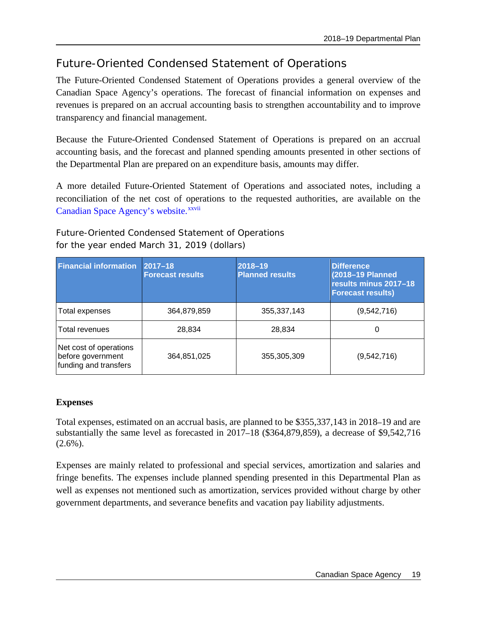## <span id="page-22-0"></span>Future-Oriented Condensed Statement of Operations

The Future-Oriented Condensed Statement of Operations provides a general overview of the Canadian Space Agency's operations. The forecast of financial information on expenses and revenues is prepared on an accrual accounting basis to strengthen accountability and to improve transparency and financial management.

Because the Future-Oriented Condensed Statement of Operations is prepared on an accrual accounting basis, and the forecast and planned spending amounts presented in other sections of the Departmental Plan are prepared on an expenditure basis, amounts may differ.

<span id="page-22-1"></span>A more detailed Future-Oriented Statement of Operations and associated notes, including a reconciliation of the net cost of operations to the requested authorities, are available on the [Canadian Space Agency's website.](http://www.asc-csa.gc.ca/eng/publications/rp.asp) XXVii

Future-Oriented Condensed Statement of Operations for the year ended March 31, 2019 (dollars)

| <b>Financial information</b>                                         | $ 2017 - 18 $<br><b>Forecast results</b> | $2018 - 19$<br><b>Planned results</b> | <b>Difference</b><br>(2018-19 Planned<br>results minus 2017-18<br><b>Forecast results)</b> |
|----------------------------------------------------------------------|------------------------------------------|---------------------------------------|--------------------------------------------------------------------------------------------|
| Total expenses                                                       | 364,879,859                              | 355, 337, 143                         | (9,542,716)                                                                                |
| Total revenues                                                       | 28,834                                   | 28,834                                | 0                                                                                          |
| Net cost of operations<br>before government<br>funding and transfers | 364,851,025                              | 355,305,309                           | (9,542,716)                                                                                |

### **Expenses**

Total expenses, estimated on an accrual basis, are planned to be \$355,337,143 in 2018–19 and are substantially the same level as forecasted in 2017–18 (\$364,879,859), a decrease of \$9,542,716  $(2.6\%)$ .

Expenses are mainly related to professional and special services, amortization and salaries and fringe benefits. The expenses include planned spending presented in this Departmental Plan as well as expenses not mentioned such as amortization, services provided without charge by other government departments, and severance benefits and vacation pay liability adjustments.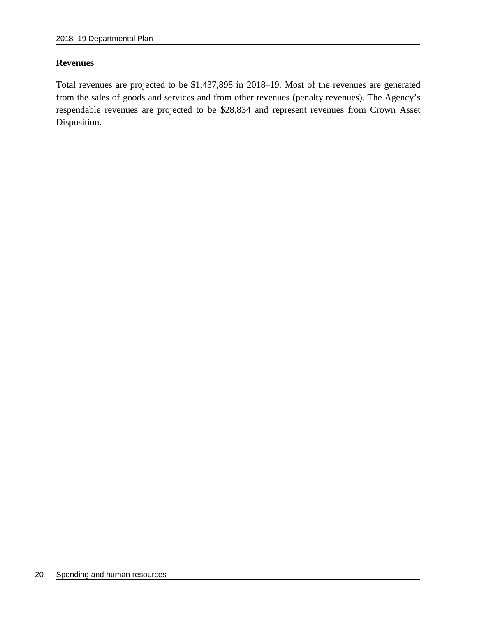#### **Revenues**

Total revenues are projected to be \$1,437,898 in 2018–19. Most of the revenues are generated from the sales of goods and services and from other revenues (penalty revenues). The Agency's respendable revenues are projected to be \$28,834 and represent revenues from Crown Asset Disposition.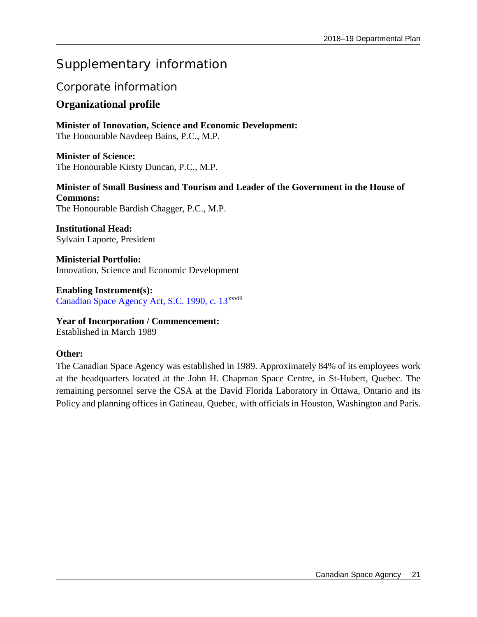## <span id="page-24-0"></span>Supplementary information

### <span id="page-24-1"></span>Corporate information

### <span id="page-24-2"></span>**Organizational profile**

**Minister of Innovation, Science and Economic Development:** The Honourable Navdeep Bains, P.C., M.P.

**Minister of Science:** The Honourable Kirsty Duncan, P.C., M.P.

**Minister of Small Business and Tourism and Leader of the Government in the House of Commons:** The Honourable Bardish Chagger, P.C., M.P.

**Institutional Head:**  Sylvain Laporte, President

**Ministerial Portfolio:** Innovation, Science and Economic Development

**Enabling Instrument(s):** [Canadian Space Agency Act, S.C. 1990, c. 13](http://laws.justice.gc.ca/eng/acts/C-23.2/page-1.html)<sup>xxviii</sup>

**Year of Incorporation / Commencement:**  Established in March 1989

### **Other:**

The Canadian Space Agency was established in 1989. Approximately 84% of its employees work at the headquarters located at the John H. Chapman Space Centre, in St-Hubert, Quebec. The remaining personnel serve the CSA at the David Florida Laboratory in Ottawa, Ontario and its Policy and planning offices in Gatineau, Quebec, with officials in Houston, Washington and Paris.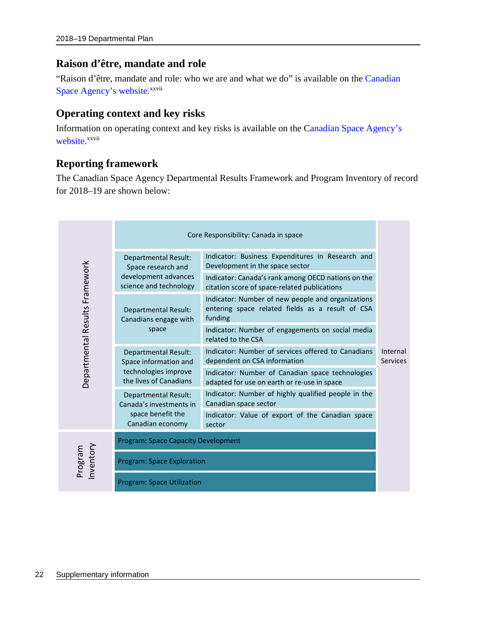### <span id="page-25-0"></span>**Raison d'être, mandate and role**

"Raison d'être, mandate and role: who we are and what we do" is available on the Canadian [Space Agency's website.](http://www.asc-csa.gc.ca/eng/publications/rp.asp)<sup>[xxvii](#page-22-1)</sup>

### <span id="page-25-1"></span>**Operating context and key risks**

Information on operating context and key risks is available on the [Canadian Space Agency's](http://www.asc-csa.gc.ca/eng/publications/rp.asp)  [website.](http://www.asc-csa.gc.ca/eng/publications/rp.asp)<sup>[xxvii](#page-22-1)</sup>

### <span id="page-25-2"></span>**Reporting framework**

The Canadian Space Agency Departmental Results Framework and Program Inventory of record for 2018–19 are shown below:

|                                |                                                        | Core Responsibility: Canada in space                                                                             |                             |  |  |
|--------------------------------|--------------------------------------------------------|------------------------------------------------------------------------------------------------------------------|-----------------------------|--|--|
|                                | <b>Departmental Result:</b><br>Space research and      | Indicator: Business Expenditures in Research and<br>Development in the space sector                              |                             |  |  |
|                                | development advances<br>science and technology         | Indicator: Canada's rank among OECD nations on the<br>citation score of space-related publications               |                             |  |  |
|                                | <b>Departmental Result:</b><br>Canadians engage with   | Indicator: Number of new people and organizations<br>entering space related fields as a result of CSA<br>funding |                             |  |  |
| Departmental Results Framework | space                                                  | Indicator: Number of engagements on social media<br>related to the CSA                                           | Internal<br><b>Services</b> |  |  |
|                                | <b>Departmental Result:</b><br>Space information and   | Indicator: Number of services offered to Canadians<br>dependent on CSA information                               |                             |  |  |
|                                | technologies improve<br>the lives of Canadians         | Indicator: Number of Canadian space technologies<br>adapted for use on earth or re-use in space                  |                             |  |  |
|                                | <b>Departmental Result:</b><br>Canada's investments in | Indicator: Number of highly qualified people in the<br>Canadian space sector                                     |                             |  |  |
|                                | space benefit the<br>Canadian economy                  | Indicator: Value of export of the Canadian space<br>sector                                                       |                             |  |  |
|                                | <b>Program: Space Capacity Development</b>             |                                                                                                                  |                             |  |  |
| Inventory<br>Program           | <b>Program: Space Exploration</b>                      |                                                                                                                  |                             |  |  |
|                                | <b>Program: Space Utilization</b>                      |                                                                                                                  |                             |  |  |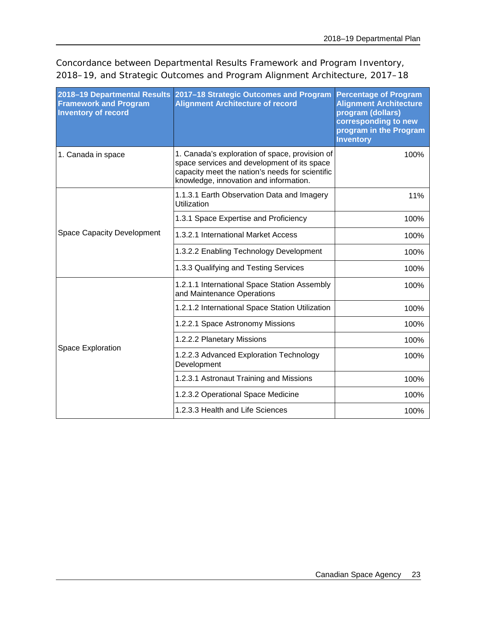Concordance between Departmental Results Framework and Program Inventory, 2018–19, and Strategic Outcomes and Program Alignment Architecture, 2017–18

| 2018-19 Departmental Results<br><b>Framework and Program</b><br><b>Inventory of record</b> | 2017-18 Strategic Outcomes and Program<br><b>Alignment Architecture of record</b>                                                                                                          | <b>Percentage of Program</b><br><b>Alignment Architecture</b><br>program (dollars)<br>corresponding to new<br>program in the Program<br><b>Inventory</b> |
|--------------------------------------------------------------------------------------------|--------------------------------------------------------------------------------------------------------------------------------------------------------------------------------------------|----------------------------------------------------------------------------------------------------------------------------------------------------------|
| 1. Canada in space                                                                         | 1. Canada's exploration of space, provision of<br>space services and development of its space<br>capacity meet the nation's needs for scientific<br>knowledge, innovation and information. | 100%                                                                                                                                                     |
| <b>Space Capacity Development</b>                                                          | 1.1.3.1 Earth Observation Data and Imagery<br>Utilization                                                                                                                                  | 11%                                                                                                                                                      |
|                                                                                            | 1.3.1 Space Expertise and Proficiency                                                                                                                                                      | 100%                                                                                                                                                     |
|                                                                                            | 1.3.2.1 International Market Access                                                                                                                                                        | 100%                                                                                                                                                     |
|                                                                                            | 1.3.2.2 Enabling Technology Development                                                                                                                                                    | 100%                                                                                                                                                     |
|                                                                                            | 1.3.3 Qualifying and Testing Services                                                                                                                                                      | 100%                                                                                                                                                     |
| Space Exploration                                                                          | 1.2.1.1 International Space Station Assembly<br>and Maintenance Operations                                                                                                                 | 100%                                                                                                                                                     |
|                                                                                            | 1.2.1.2 International Space Station Utilization                                                                                                                                            | 100%                                                                                                                                                     |
|                                                                                            | 1.2.2.1 Space Astronomy Missions                                                                                                                                                           | 100%                                                                                                                                                     |
|                                                                                            | 1.2.2.2 Planetary Missions                                                                                                                                                                 | 100%                                                                                                                                                     |
|                                                                                            | 1.2.2.3 Advanced Exploration Technology<br>Development                                                                                                                                     | 100%                                                                                                                                                     |
|                                                                                            | 1.2.3.1 Astronaut Training and Missions                                                                                                                                                    | 100%                                                                                                                                                     |
|                                                                                            | 1.2.3.2 Operational Space Medicine                                                                                                                                                         | 100%                                                                                                                                                     |
|                                                                                            | 1.2.3.3 Health and Life Sciences                                                                                                                                                           | 100%                                                                                                                                                     |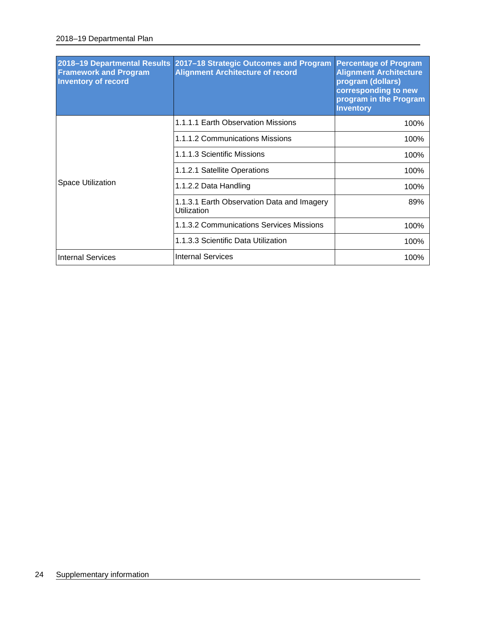| 2018-19 Departmental Results<br><b>Framework and Program</b><br><b>Inventory of record</b> | 2017-18 Strategic Outcomes and Program<br><b>Alignment Architecture of record</b> | <b>Percentage of Program</b><br><b>Alignment Architecture</b><br>program (dollars)<br>corresponding to new<br>program in the Program<br><b>Inventory</b> |
|--------------------------------------------------------------------------------------------|-----------------------------------------------------------------------------------|----------------------------------------------------------------------------------------------------------------------------------------------------------|
| Space Utilization                                                                          | 1.1.1.1 Earth Observation Missions                                                | 100%                                                                                                                                                     |
|                                                                                            | 1.1.1.2 Communications Missions                                                   | 100%                                                                                                                                                     |
|                                                                                            | 1.1.1.3 Scientific Missions                                                       | 100%                                                                                                                                                     |
|                                                                                            | 1.1.2.1 Satellite Operations                                                      | 100%                                                                                                                                                     |
|                                                                                            | 1.1.2.2 Data Handling                                                             | 100%                                                                                                                                                     |
|                                                                                            | 1.1.3.1 Earth Observation Data and Imagery<br>Utilization                         | 89%                                                                                                                                                      |
|                                                                                            | 1.1.3.2 Communications Services Missions                                          | 100%                                                                                                                                                     |
|                                                                                            | 1.1.3.3 Scientific Data Utilization                                               | 100%                                                                                                                                                     |
| <b>Internal Services</b>                                                                   | <b>Internal Services</b>                                                          | 100%                                                                                                                                                     |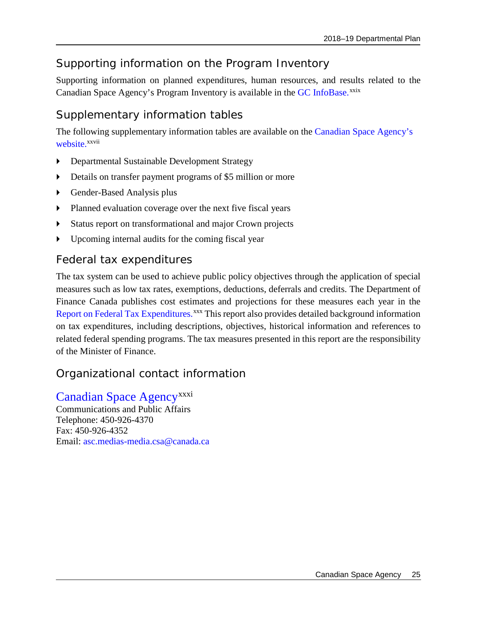## <span id="page-28-0"></span>Supporting information on the Program Inventory

Supporting information on planned expenditures, human resources, and results related to the Canadian Space Agency's Program Inventory is available in the GC [InfoBase.](https://www.tbs-sct.gc.ca/ems-sgd/edb-bdd/index-eng.html)<sup>[xxix](#page-34-27)</sup>

## <span id="page-28-1"></span>Supplementary information tables

The following supplementary information tables are available on the [Canadian Space Agency's](http://www.asc-csa.gc.ca/eng/publications/rp.asp)  [website.](http://www.asc-csa.gc.ca/eng/publications/rp.asp)<sup>[xxvii](#page-22-1)</sup>

- Departmental Sustainable Development Strategy
- Details on transfer payment programs of \$5 million or more
- Gender-Based Analysis plus
- **Planned evaluation coverage over the next five fiscal years**
- Status report on transformational and major Crown projects
- Upcoming internal audits for the coming fiscal year

### <span id="page-28-2"></span>Federal tax expenditures

The tax system can be used to achieve public policy objectives through the application of special measures such as low tax rates, exemptions, deductions, deferrals and credits. The Department of Finance Canada publishes cost estimates and projections for these measures each year in the [Report on Federal Tax Expenditures.](http://www.fin.gc.ca/purl/taxexp-eng.asp)<sup>[xxx](#page-34-28)</sup> This report also provides detailed background information on tax expenditures, including descriptions, objectives, historical information and references to related federal spending programs. The tax measures presented in this report are the responsibility of the Minister of Finance.

### <span id="page-28-3"></span>Organizational contact information

### [Canadian Space Agency](http://asc-csa.gc.ca/)<sup>[xxxi](#page-34-29)</sup>

Communications and Public Affairs Telephone: 450-926-4370 Fax: 450-926-4352 Email: [asc.medias-media.csa@canada.ca](mailto:asc.medias-media.csa@canada.ca)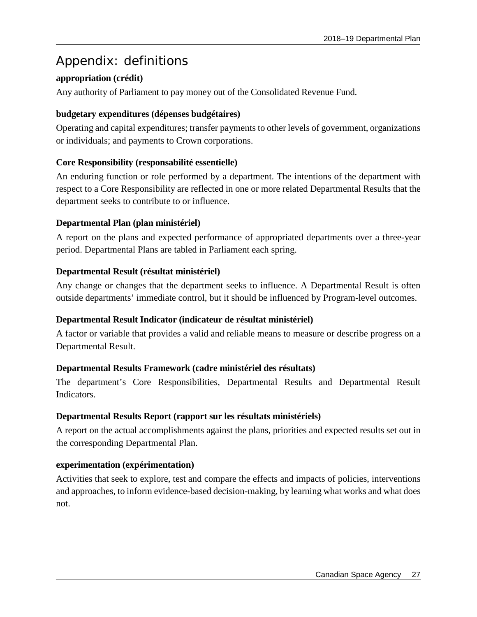## <span id="page-30-0"></span>Appendix: definitions

### **appropriation (crédit)**

Any authority of Parliament to pay money out of the Consolidated Revenue Fund.

### **budgetary expenditures (dépenses budgétaires)**

Operating and capital expenditures; transfer payments to other levels of government, organizations or individuals; and payments to Crown corporations.

### **Core Responsibility (responsabilité essentielle)**

An enduring function or role performed by a department. The intentions of the department with respect to a Core Responsibility are reflected in one or more related Departmental Results that the department seeks to contribute to or influence.

### **Departmental Plan (plan ministériel)**

A report on the plans and expected performance of appropriated departments over a three-year period. Departmental Plans are tabled in Parliament each spring.

### **Departmental Result (résultat ministériel)**

Any change or changes that the department seeks to influence. A Departmental Result is often outside departments' immediate control, but it should be influenced by Program-level outcomes.

### **Departmental Result Indicator (indicateur de résultat ministériel)**

A factor or variable that provides a valid and reliable means to measure or describe progress on a Departmental Result.

### **Departmental Results Framework (cadre ministériel des résultats)**

The department's Core Responsibilities, Departmental Results and Departmental Result Indicators.

### **Departmental Results Report (rapport sur les résultats ministériels)**

A report on the actual accomplishments against the plans, priorities and expected results set out in the corresponding Departmental Plan.

### **experimentation (expérimentation)**

Activities that seek to explore, test and compare the effects and impacts of policies, interventions and approaches, to inform evidence-based decision-making, by learning what works and what does not.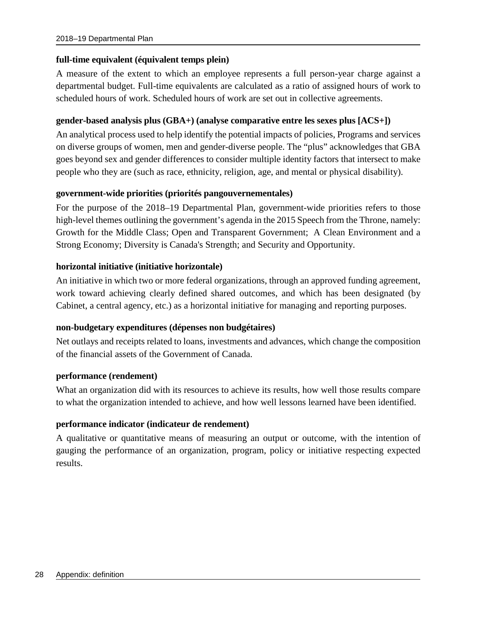#### **full-time equivalent (équivalent temps plein)**

A measure of the extent to which an employee represents a full person-year charge against a departmental budget. Full-time equivalents are calculated as a ratio of assigned hours of work to scheduled hours of work. Scheduled hours of work are set out in collective agreements.

#### **gender-based analysis plus (GBA+) (analyse comparative entre les sexes plus [ACS+])**

An analytical process used to help identify the potential impacts of policies, Programs and services on diverse groups of women, men and gender-diverse people. The "plus" acknowledges that GBA goes beyond sex and gender differences to consider multiple identity factors that intersect to make people who they are (such as race, ethnicity, religion, age, and mental or physical disability).

#### **government-wide priorities (priorités pangouvernementales)**

For the purpose of the 2018–19 Departmental Plan, government-wide priorities refers to those high-level themes outlining the government's agenda in the 2015 Speech from the Throne, namely: Growth for the Middle Class; Open and Transparent Government; A Clean Environment and a Strong Economy; Diversity is Canada's Strength; and Security and Opportunity.

#### **horizontal initiative (initiative horizontale)**

An initiative in which two or more federal organizations, through an approved funding agreement, work toward achieving clearly defined shared outcomes, and which has been designated (by Cabinet, a central agency, etc.) as a horizontal initiative for managing and reporting purposes.

#### **non-budgetary expenditures (dépenses non budgétaires)**

Net outlays and receipts related to loans, investments and advances, which change the composition of the financial assets of the Government of Canada.

#### **performance (rendement)**

What an organization did with its resources to achieve its results, how well those results compare to what the organization intended to achieve, and how well lessons learned have been identified.

### **performance indicator (indicateur de rendement)**

A qualitative or quantitative means of measuring an output or outcome, with the intention of gauging the performance of an organization, program, policy or initiative respecting expected results.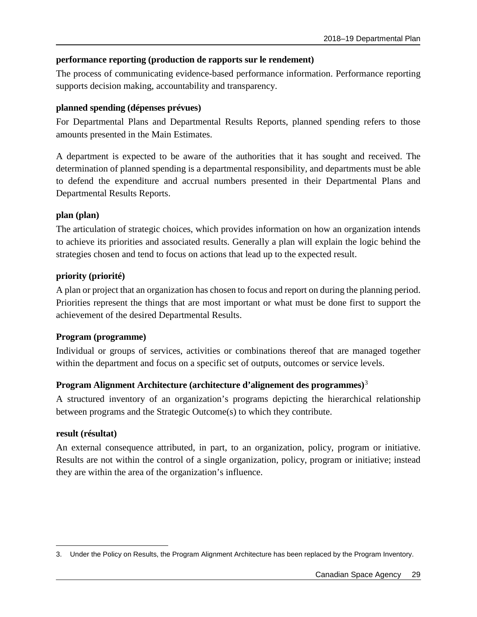### **performance reporting (production de rapports sur le rendement)**

The process of communicating evidence-based performance information. Performance reporting supports decision making, accountability and transparency.

### **planned spending (dépenses prévues)**

For Departmental Plans and Departmental Results Reports, planned spending refers to those amounts presented in the Main Estimates.

A department is expected to be aware of the authorities that it has sought and received. The determination of planned spending is a departmental responsibility, and departments must be able to defend the expenditure and accrual numbers presented in their Departmental Plans and Departmental Results Reports.

### **plan (plan)**

The articulation of strategic choices, which provides information on how an organization intends to achieve its priorities and associated results. Generally a plan will explain the logic behind the strategies chosen and tend to focus on actions that lead up to the expected result.

### **priority (priorité)**

A plan or project that an organization has chosen to focus and report on during the planning period. Priorities represent the things that are most important or what must be done first to support the achievement of the desired Departmental Results.

### **Program (programme)**

Individual or groups of services, activities or combinations thereof that are managed together within the department and focus on a specific set of outputs, outcomes or service levels.

### **Program Alignment Architecture (architecture d'alignement des programmes)**[3](#page-32-0)

A structured inventory of an organization's programs depicting the hierarchical relationship between programs and the Strategic Outcome(s) to which they contribute.

### **result (résultat)**

An external consequence attributed, in part, to an organization, policy, program or initiative. Results are not within the control of a single organization, policy, program or initiative; instead they are within the area of the organization's influence.

<span id="page-32-0"></span> $\overline{a}$ 3. Under the Policy on Results, the Program Alignment Architecture has been replaced by the Program Inventory.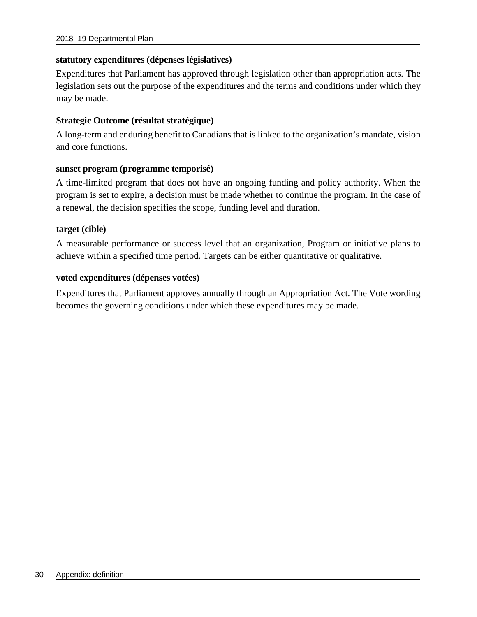#### **statutory expenditures (dépenses législatives)**

Expenditures that Parliament has approved through legislation other than appropriation acts. The legislation sets out the purpose of the expenditures and the terms and conditions under which they may be made.

#### **Strategic Outcome (résultat stratégique)**

A long-term and enduring benefit to Canadians that is linked to the organization's mandate, vision and core functions.

#### **sunset program (programme temporisé)**

A time-limited program that does not have an ongoing funding and policy authority. When the program is set to expire, a decision must be made whether to continue the program. In the case of a renewal, the decision specifies the scope, funding level and duration.

#### **target (cible)**

A measurable performance or success level that an organization, Program or initiative plans to achieve within a specified time period. Targets can be either quantitative or qualitative.

#### **voted expenditures (dépenses votées)**

Expenditures that Parliament approves annually through an Appropriation Act. The Vote wording becomes the governing conditions under which these expenditures may be made.